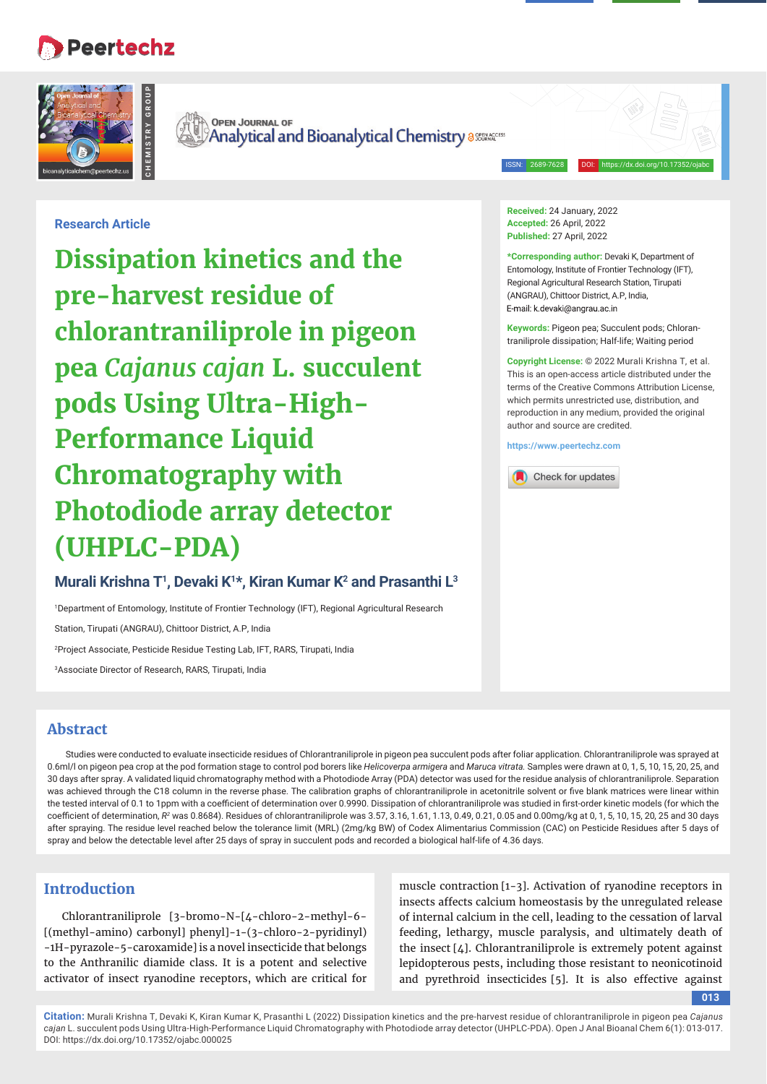# **Peertechz**



**OPEN JOURNAL OF Analytical and Bioanalytical Chemistry assesseded** 

ISSN: 2689-7628 DOI: https://dx.doi.org/10.17352/ojabc

**Research Article**

Research Article<br> **Dissipation Ki**<br> **Pre-harvest recht<br>
chlorantranilip<br>
<b>pea Cajanus caj**<br> **Pools Using Ull<br>
Performance Chromatograp<br>
<b>Photodiode all**<br>
(UHPLC-PDA<br>
Murali Krishna T<sup>1</sup>, Devaki K<br>
<sup>19</sup>Pepert Associate Dire **Dissipation kinetics and the pre-harvest residue of chlorantraniliprole in pigeon pea** *Cajanus cajan* **L. succulent pods Using Ultra-High-Performance Liquid Chromatography with Photodiode array detector (UHPLC-PDA)**

# **Murali Krishna T1 , Devaki K1 \*, Kiran Kumar K2 and Prasanthi L3**

1 Department of Entomology, Institute of Frontier Technology (IFT), Regional Agricultural Research

Station, Tirupati (ANGRAU), Chittoor District, A.P, India

2 Project Associate, Pesticide Residue Testing Lab, IFT, RARS, Tirupati, India

3 Associate Director of Research, RARS, Tirupati, India

# **Abstract**

Studies were conducted to evaluate insecticide residues of Chlorantraniliprole in pigeon pea succulent pods after foliar application. Chlorantraniliprole was sprayed at 0.6ml/l on pigeon pea crop at the pod formation stage to control pod borers like *Helicoverpa armigera* and *Maruca vitrata.* Samples were drawn at 0, 1, 5, 10, 15, 20, 25, and 30 days after spray. A validated liquid chromatography method with a Photodiode Array (PDA) detector was used for the residue analysis of chlorantraniliprole. Separation was achieved through the C18 column in the reverse phase. The calibration graphs of chlorantraniliprole in acetonitrile solvent or five blank matrices were linear within the tested interval of 0.1 to 1ppm with a coefficient of determination over 0.9990. Dissipation of chlorantraniliprole was studied in first-order kinetic models (for which the coefficient of determination,  $R^2$  was 0.8684). Residues of chlorantraniliprole was 3.57, 3.16, 1.61, 1.13, 0.49, 0.21, 0.05 and 0.00mg/kg at 0, 1, 5, 10, 15, 20, 25 and 30 days after spraying. The residue level reached below the tolerance limit (MRL) (2mg/kg BW) of Codex Alimentarius Commission (CAC) on Pesticide Residues after 5 days of spray and below the detectable level after 25 days of spray in succulent pods and recorded a biological half-life of 4.36 days.

# **Introduction**

Chlorantraniliprole [3-bromo-N-[4-chloro-2-methyl-6- [(methyl-amino) carbonyl] phenyl]-1-(3-chloro-2-pyridinyl) -1H-pyrazole-5-caroxamide] is a novel insecticide that belongs to the Anthranilic diamide class. It is a potent and selective activator of insect ryanodine receptors, which are critical for

muscle contraction [1-3]. Activation of ryanodine receptors in insects affects calcium homeostasis by the unregulated release of internal calcium in the cell, leading to the cessation of larval feeding, lethargy, muscle paralysis, and ultimately death of the insect  $[4]$ . Chlorantraniliprole is extremely potent against lepidopterous pests, including those resistant to neonicotinoid and pyrethroid insecticides [5]. It is also effective against

#### **013**

**Citation:** Murali Krishna T, Devaki K, Kiran Kumar K, Prasanthi L (2022) Dissipation kinetics and the pre-harvest residue of chlorantraniliprole in pigeon pea *Cajanus cajan* L. succulent pods Using Ultra-High-Performance Liquid Chromatography with Photodiode array detector (UHPLC-PDA). Open J Anal Bioanal Chem 6(1): 013-017. DOI: https://dx.doi.org/10.17352/ojabc.000025

**Received:** 24 January, 2022 **Accepted:** 26 April, 2022 **Published:** 27 April, 2022

**\*Corresponding author:** Devaki K, Department of Entomology, Institute of Frontier Technology (IFT), Regional Agricultural Research Station, Tirupati (ANGRAU), Chittoor District, A.P, India, E-mail: k.devaki@angrau.ac.in

**Keywords:** Pigeon pea; Succulent pods; Chlorantraniliprole dissipation; Half-life; Waiting period

**Copyright License:** © 2022 Murali Krishna T, et al. This is an open-access article distributed under the terms of the Creative Commons Attribution License, which permits unrestricted use, distribution, and reproduction in any medium, provided the original author and source are credited.

**https://www.peertechz.com**

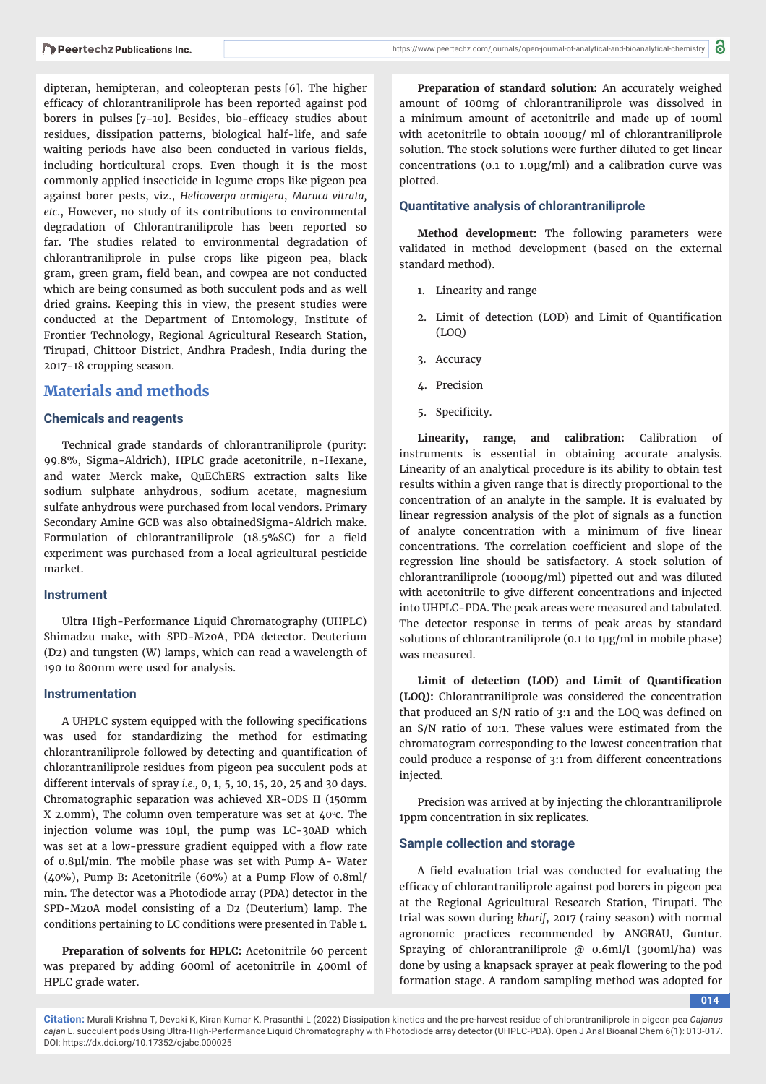dipteran, hemipteran, and coleopteran pests [6]. The higher efficacy of chlorantraniliprole has been reported against pod borers in pulses [7-10]. Besides, bio-efficacy studies about residues, dissipation patterns, biological half-life, and safe waiting periods have also been conducted in various fields, including horticultural crops. Even though it is the most commonly applied insecticide in legume crops like pigeon pea against borer pests, viz., *Helicoverpa armigera*, *Maruca vitrata, etc*., However, no study of its contributions to environmental degradation of Chlorantraniliprole has been reported so far. The studies related to environmental degradation of chlorantraniliprole in pulse crops like pigeon pea, black gram, green gram, field bean, and cowpea are not conducted which are being consumed as both succulent pods and as well dried grains. Keeping this in view, the present studies were conducted at the Department of Entomology, Institute of Frontier Technology, Regional Agricultural Research Station, Tirupati, Chittoor District, Andhra Pradesh, India during the 2017-18 cropping season.

# **Materials and methods**

# **Chemicals and reagents**

Technical grade standards of chlorantraniliprole (purity: 99.8%, Sigma-Aldrich), HPLC grade acetonitrile, n-Hexane, and water Merck make, QuEChERS extraction salts like sodium sulphate anhydrous, sodium acetate, magnesium sulfate anhydrous were purchased from local vendors. Primary Secondary Amine GCB was also obtainedSigma-Aldrich make. Formulation of chlorantraniliprole (18.5%SC) for a field experiment was purchased from a local agricultural pesticide market.

#### **Instrument**

Ultra High-Performance Liquid Chromatography (UHPLC) Shimadzu make, with SPD-M20A, PDA detector. Deuterium (D2) and tungsten (W) lamps, which can read a wavelength of 190 to 800nm were used for analysis.

#### **Instrumentation**

A UHPLC system equipped with the following specifications was used for standardizing the method for estimating chlorantraniliprole followed by detecting and quantification of chlorantraniliprole residues from pigeon pea succulent pods at different intervals of spray *i.e.,* 0, 1, 5, 10, 15, 20, 25 and 30 days. Chromatographic separation was achieved XR-ODS II (150mm X 2.0mm), The column oven temperature was set at  $40^{\circ}$ c. The injection volume was 10μl, the pump was LC-30AD which was set at a low-pressure gradient equipped with a flow rate of 0.8μl/min. The mobile phase was set with Pump A- Water (40%), Pump B: Acetonitrile (60%) at a Pump Flow of 0.8ml/ min. The detector was a Photodiode array (PDA) detector in the SPD-M20A model consisting of a D2 (Deuterium) lamp. The conditions pertaining to LC conditions were presented in Table 1.

**Preparation of solvents for HPLC:** Acetonitrile 60 percent was prepared by adding 600ml of acetonitrile in 400ml of HPLC grade water.

**Preparation of standard solution:** An accurately weighed amount of 100mg of chlorantraniliprole was dissolved in a minimum amount of acetonitrile and made up of 100ml with acetonitrile to obtain 1000μg/ ml of chlorantraniliprole solution. The stock solutions were further diluted to get linear concentrations (0.1 to 1.0μg/ml) and a calibration curve was plotted.

## **Quantitative analysis of chlorantraniliprole**

**Method development:** The following parameters were validated in method development (based on the external standard method).

- 1. Linearity and range
- 2. Limit of detection (LOD) and Limit of Quantification (LOQ)
- 3. Accuracy
- 4. Precision
- 5. Specificity.

**Linearity, range, and calibration:** Calibration of instruments is essential in obtaining accurate analysis. Linearity of an analytical procedure is its ability to obtain test results within a given range that is directly proportional to the concentration of an analyte in the sample. It is evaluated by linear regression analysis of the plot of signals as a function of analyte concentration with a minimum of five linear concentrations. The correlation coefficient and slope of the regression line should be satisfactory. A stock solution of chlorantraniliprole (1000μg/ml) pipetted out and was diluted with acetonitrile to give different concentrations and injected into UHPLC-PDA. The peak areas were measured and tabulated. The detector response in terms of peak areas by standard solutions of chlorantraniliprole (0.1 to 1μg/ml in mobile phase) was measured.

Limit of detection (LOD) and Limit of Quantification **(LOQ):** Chlorantraniliprole was considered the concentration that produced an  $S/N$  ratio of  $3:1$  and the LOQ was defined on an S/N ratio of 10:1. These values were estimated from the chromatogram corresponding to the lowest concentration that could produce a response of 3:1 from different concentrations injected.

Precision was arrived at by injecting the chlorantraniliprole 1ppm concentration in six replicates.

#### **Sample collection and storage**

A field evaluation trial was conducted for evaluating the efficacy of chlorantraniliprole against pod borers in pigeon pea at the Regional Agricultural Research Station, Tirupati. The trial was sown during *kharif*, 2017 (rainy season) with normal agronomic practices recommended by ANGRAU, Guntur. Spraying of chlorantraniliprole @ 0.6ml/l (300ml/ha) was done by using a knapsack sprayer at peak flowering to the pod formation stage. A random sampling method was adopted for

**014**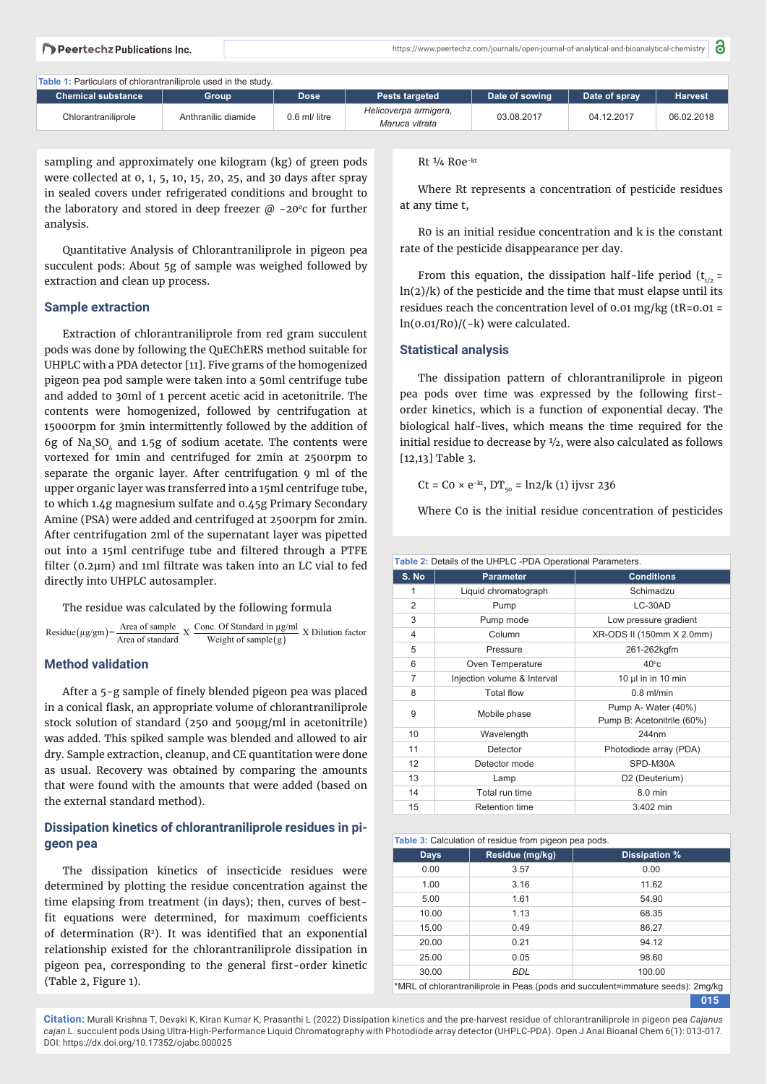a

**Table 1:** Particulars of chlorantraniliprole used in the study.

| <b>Chemical substance</b> | Group               | <b>Dose</b>   | <b>Pests targeted</b>                   | Date of sowing | Date of spray | Harvest    |
|---------------------------|---------------------|---------------|-----------------------------------------|----------------|---------------|------------|
| Chlorantraniliprole       | Anthranilic diamide | 0.6 ml/ litre | Helicoverpa armigera,<br>Maruca vitrata | 03.08.2017     | 04.12.2017    | 06.02.2018 |

sampling and approximately one kilogram (kg) of green pods were collected at 0, 1, 5, 10, 15, 20, 25, and 30 days after spray in sealed covers under refrigerated conditions and brought to the laboratory and stored in deep freezer  $\varpi$  -20° cfor further analysis.

Quantitative Analysis of Chlorantraniliprole in pigeon pea succulent pods: About 5g of sample was weighed followed by extraction and clean up process.

## **Sample extraction**

Extraction of chlorantraniliprole from red gram succulent pods was done by following the QuEChERS method suitable for UHPLC with a PDA detector [11]. Five grams of the homogenized pigeon pea pod sample were taken into a 50ml centrifuge tube and added to 30ml of 1 percent acetic acid in acetonitrile. The contents were homogenized, followed by centrifugation at 15000rpm for 3min intermittently followed by the addition of 6g of Na<sub>2</sub>SO<sub> $<sub>i</sub>$ </sub> and 1.5g of sodium acetate. The contents were</sub> vortexed for 1min and centrifuged for 2min at 2500rpm to separate the organic layer. After centrifugation 9 ml of the upper organic layer was transferred into a 15ml centrifuge tube, to which 1.4g magnesium sulfate and 0.45g Primary Secondary Amine (PSA) were added and centrifuged at 2500rpm for 2min. After centrifugation 2ml of the supernatant layer was pipetted out into a 15ml centrifuge tube and filtered through a PTFE filter (0.2 $\mu$ m) and 1ml filtrate was taken into an LC vial to fed directly into UHPLC autosampler.

The residue was calculated by the following formula

Residue ( $\mu$ g/gm) = Area of sample X Conc. Of Standard in  $\mu$ g/ml X Dilution factor Weight of sample (g)

## **Method validation**

After a 5-g sample of finely blended pigeon pea was placed in a conical flask, an appropriate volume of chlorantraniliprole stock solution of standard (250 and 500μg/ml in acetonitrile) was added. This spiked sample was blended and allowed to air dry. Sample extraction, cleanup, and CE quantitation were done as usual. Recovery was obtained by comparing the amounts that were found with the amounts that were added (based on the external standard method).

# **Dissipation kinetics of chlorantraniliprole residues in pigeon pea**

The dissipation kinetics of insecticide residues were determined by plotting the residue concentration against the time elapsing from treatment (in days); then, curves of bestfit equations were determined, for maximum coefficients of determination  $(R<sup>2</sup>)$ . It was identified that an exponential relationship existed for the chlorantraniliprole dissipation in pigeon pea, corresponding to the general first-order kinetic (Table 2, Figure 1).

Rt ¼ R0e<sup>−</sup>kt

Where Rt represents a concentration of pesticide residues at any time t,

R0 is an initial residue concentration and k is the constant rate of the pesticide disappearance per day.

From this equation, the dissipation half-life period  $(t_{1/2} =$  $ln(2)/k$ ) of the pesticide and the time that must elapse until its residues reach the concentration level of 0.01 mg/kg ( $tR=0.01 =$ ln(0.01/R0)/(−k) were calculated.

#### **Statistical analysis**

The dissipation pattern of chlorantraniliprole in pigeon pea pods over time was expressed by the following firstorder kinetics, which is a function of exponential decay. The biological half-lives, which means the time required for the initial residue to decrease by ½, were also calculated as follows [12,13] Table 3.

 $Ct = C0 \times e^{-kt}$ ,  $DT_{50} = ln2/k$  (1) ijvsr 236

Where C0 is the initial residue concentration of pesticides

| Table 2: Details of the UHPLC -PDA Operational Parameters. |  |  |
|------------------------------------------------------------|--|--|
|------------------------------------------------------------|--|--|

| S. No          | <b>Parameter</b>            | <b>Conditions</b>          |  |
|----------------|-----------------------------|----------------------------|--|
| 1              | Liquid chromatograph        | Schimadzu                  |  |
| $\overline{2}$ | Pump                        | LC-30AD                    |  |
| 3              | Pump mode                   | Low pressure gradient      |  |
| 4              | Column                      | XR-ODS II (150mm X 2.0mm)  |  |
| 5              | Pressure                    | 261-262kgfm                |  |
| 6              | Oven Temperature            | $40^{\circ}$ c             |  |
| 7              | Injection volume & Interval | 10 µl in in 10 min         |  |
| 8              | <b>Total flow</b>           | $0.8$ ml/min               |  |
| 9              | Mobile phase                | Pump A- Water (40%)        |  |
|                |                             | Pump B: Acetonitrile (60%) |  |
| 10             | Wavelength                  | 244nm                      |  |
| 11             | Detector                    | Photodiode array (PDA)     |  |
| 12             | Detector mode               | SPD-M30A                   |  |
| 13             | Lamp                        | D2 (Deuterium)             |  |
| 14             | Total run time              | 8.0 min                    |  |
| 15             | Retention time              | 3.402 min                  |  |
|                |                             |                            |  |

| Table 3: Calculation of residue from pigeon pea pods.                           |                 |                      |  |  |
|---------------------------------------------------------------------------------|-----------------|----------------------|--|--|
| <b>Days</b>                                                                     | Residue (mg/kg) | <b>Dissipation %</b> |  |  |
| 0.00                                                                            | 3.57            | 0.00                 |  |  |
| 1.00                                                                            | 3.16            | 11.62                |  |  |
| 5.00                                                                            | 1.61            | 54.90                |  |  |
| 10.00                                                                           | 1.13            | 68.35                |  |  |
| 15.00                                                                           | 0.49            | 86.27                |  |  |
| 20.00                                                                           | 0.21            | 94.12                |  |  |
| 25.00                                                                           | 0.05            | 98.60                |  |  |
| 30.00                                                                           | <b>BDL</b>      | 100.00               |  |  |
| *MRL of chlorantraniliprole in Peas (pods and succulent=immature seeds): 2mg/kg |                 |                      |  |  |

**015**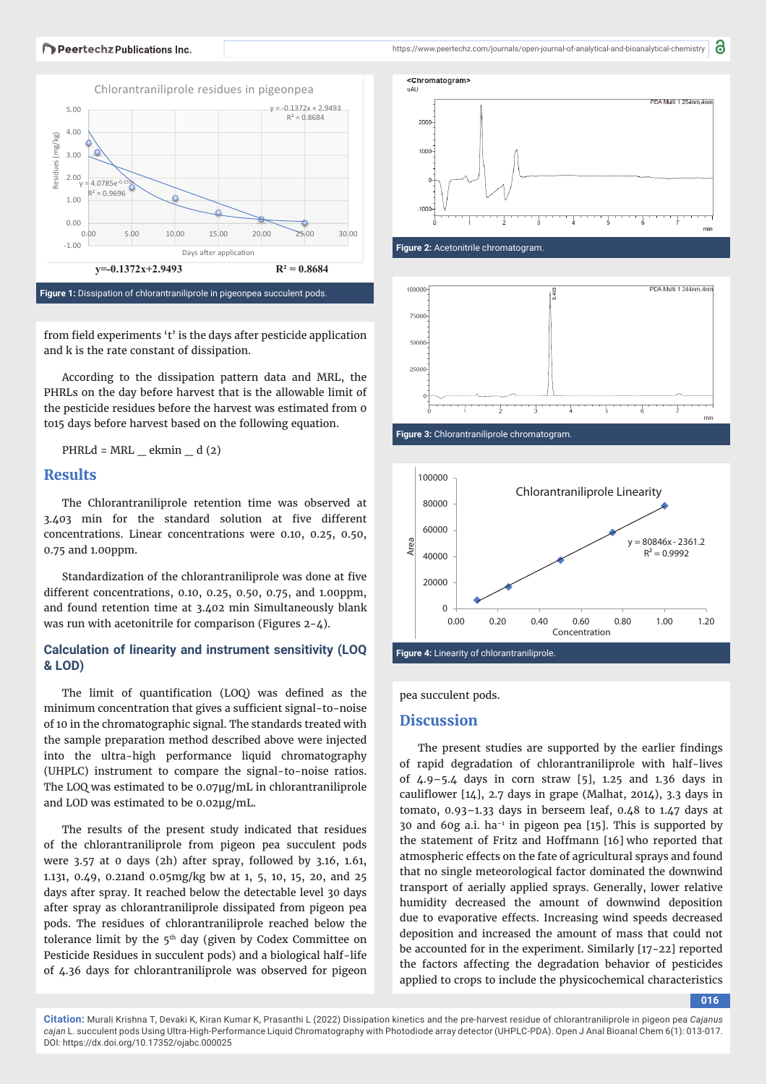#### Peertechz Publications Inc.



from field experiments 't' is the days after pesticide application and k is the rate constant of dissipation.

According to the dissipation pattern data and MRL, the PHRLs on the day before harvest that is the allowable limit of the pesticide residues before the harvest was estimated from 0 to15 days before harvest based on the following equation.

PHRLd =  $MRL$   $\_\$  ekmin  $\_\$ d $(2)$ 

# **Results**

The Chlorantraniliprole retention time was observed at 3.403 min for the standard solution at five different concentrations. Linear concentrations were 0.10, 0.25, 0.50, 0.75 and 1.00ppm.

Standardization of the chlorantraniliprole was done at five different concentrations, 0.10, 0.25, 0.50, 0.75, and 1.00ppm, and found retention time at 3.402 min Simultaneously blank was run with acetonitrile for comparison (Figures 2-4).

## **Ca lculation of linearity and instrument sensitivity (LOQ & LOD)**

The limit of quantification (LOQ) was defined as the minimum concentration that gives a sufficient signal-to-noise of 10 in the chromatographic signal. The standards treated with the sample preparation method described above were injected into the ultra-high performance liquid chromatography (UHPLC) instrument to compare the signal-to-noise ratios. The LOQ was estimated to be 0.07μg/mL in chlorantraniliprole and LOD was estimated to be 0.02μg/mL.

The results of the present study indicated that residues of the chlorantraniliprole from pigeon pea succulent pods were 3.57 at 0 days (2h) after spray, followed by 3.16, 1.61, 1.131, 0.49, 0.21and 0.05mg/kg bw at 1, 5, 10, 15, 20, and 25 days after spray. It reached below the detectable level 30 days after spray as chlorantraniliprole dissipated from pigeon pea pods. The residues of chlorantraniliprole reached below the tolerance limit by the  $5<sup>th</sup>$  day (given by Codex Committee on Pesticide Residues in succulent pods) and a biological half-life of 4.36 days for chlorantraniliprole was observed for pigeon 8











pea succulent pods.

# **Discussion**

The present studies are supported by the earlier findings of rapid degradation of chlorantraniliprole with half-lives of 4.9–5.4 days in corn straw [5], 1.25 and 1.36 days in cauliflower  $[14]$ , 2.7 days in grape (Malhat, 2014), 3.3 days in tomato, 0.93–1.33 days in berseem leaf, 0.48 to 1.47 days at 30 and 60g a.i. ha $^{-1}$  in pigeon pea [15]. This is supported by the statement of Fritz and Hoffmann [16] who reported that atmospheric effects on the fate of agricultural sprays and found that no single meteorological factor dominated the downwind transport of aerially applied sprays. Generally, lower relative humidity decreased the amount of downwind deposition due to evaporative effects. Increasing wind speeds decreased deposition and increased the amount of mass that could not be accounted for in the experiment. Similarly [17-22] reported the factors affecting the degradation behavior of pesticides applied to crops to include the physicochemical characteristics

**016**